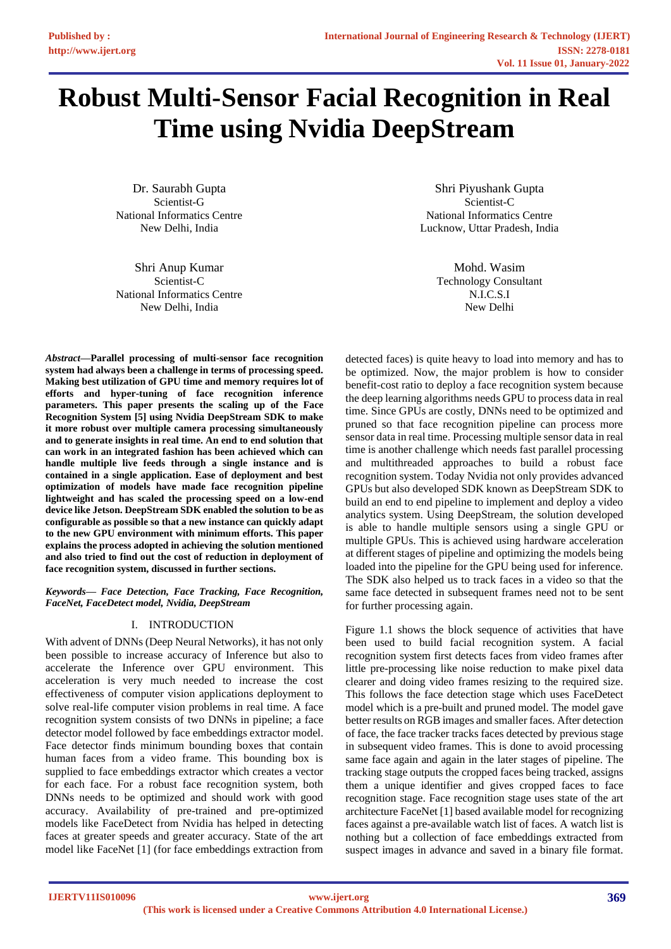# **Robust Multi-Sensor Facial Recognition in Real Time using Nvidia DeepStream**

Dr. Saurabh Gupta Scientist-G National Informatics Centre New Delhi, India

Shri Anup Kumar Scientist-C National Informatics Centre New Delhi, India

*Abstract***—Parallel processing of multi-sensor face recognition system had always been a challenge in terms of processing speed. Making best utilization of GPU time and memory requires lot of efforts and hyper-tuning of face recognition inference parameters. This paper presents the scaling up of the Face Recognition System [5] using Nvidia DeepStream SDK to make it more robust over multiple camera processing simultaneously and to generate insights in real time. An end to end solution that can work in an integrated fashion has been achieved which can handle multiple live feeds through a single instance and is contained in a single application. Ease of deployment and best optimization of models have made face recognition pipeline lightweight and has scaled the processing speed on a low-end device like Jetson. DeepStream SDK enabled the solution to be as configurable as possible so that a new instance can quickly adapt to the new GPU environment with minimum efforts. This paper explains the process adopted in achieving the solution mentioned and also tried to find out the cost of reduction in deployment of face recognition system, discussed in further sections.**

*Keywords— Face Detection, Face Tracking, Face Recognition, FaceNet, FaceDetect model, Nvidia, DeepStream*

## I. INTRODUCTION

With advent of DNNs (Deep Neural Networks), it has not only been possible to increase accuracy of Inference but also to accelerate the Inference over GPU environment. This acceleration is very much needed to increase the cost effectiveness of computer vision applications deployment to solve real-life computer vision problems in real time. A face recognition system consists of two DNNs in pipeline; a face detector model followed by face embeddings extractor model. Face detector finds minimum bounding boxes that contain human faces from a video frame. This bounding box is supplied to face embeddings extractor which creates a vector for each face. For a robust face recognition system, both DNNs needs to be optimized and should work with good accuracy. Availability of pre-trained and pre-optimized models like FaceDetect from Nvidia has helped in detecting faces at greater speeds and greater accuracy. State of the art model like FaceNet [1] (for face embeddings extraction from

Shri Piyushank Gupta Scientist-C National Informatics Centre Lucknow, Uttar Pradesh, India

> Mohd. Wasim Technology Consultant N.I.C.S.I New Delhi

detected faces) is quite heavy to load into memory and has to be optimized. Now, the major problem is how to consider benefit-cost ratio to deploy a face recognition system because the deep learning algorithms needs GPU to process data in real time. Since GPUs are costly, DNNs need to be optimized and pruned so that face recognition pipeline can process more sensor data in real time. Processing multiple sensor data in real time is another challenge which needs fast parallel processing and multithreaded approaches to build a robust face recognition system. Today Nvidia not only provides advanced GPUs but also developed SDK known as DeepStream SDK to build an end to end pipeline to implement and deploy a video analytics system. Using DeepStream, the solution developed is able to handle multiple sensors using a single GPU or multiple GPUs. This is achieved using hardware acceleration at different stages of pipeline and optimizing the models being loaded into the pipeline for the GPU being used for inference. The SDK also helped us to track faces in a video so that the same face detected in subsequent frames need not to be sent for further processing again.

Figure 1.1 shows the block sequence of activities that have been used to build facial recognition system. A facial recognition system first detects faces from video frames after little pre-processing like noise reduction to make pixel data clearer and doing video frames resizing to the required size. This follows the face detection stage which uses FaceDetect model which is a pre-built and pruned model. The model gave better results on RGB images and smaller faces. After detection of face, the face tracker tracks faces detected by previous stage in subsequent video frames. This is done to avoid processing same face again and again in the later stages of pipeline. The tracking stage outputs the cropped faces being tracked, assigns them a unique identifier and gives cropped faces to face recognition stage. Face recognition stage uses state of the art architecture FaceNet [1] based available model for recognizing faces against a pre-available watch list of faces. A watch list is nothing but a collection of face embeddings extracted from suspect images in advance and saved in a binary file format.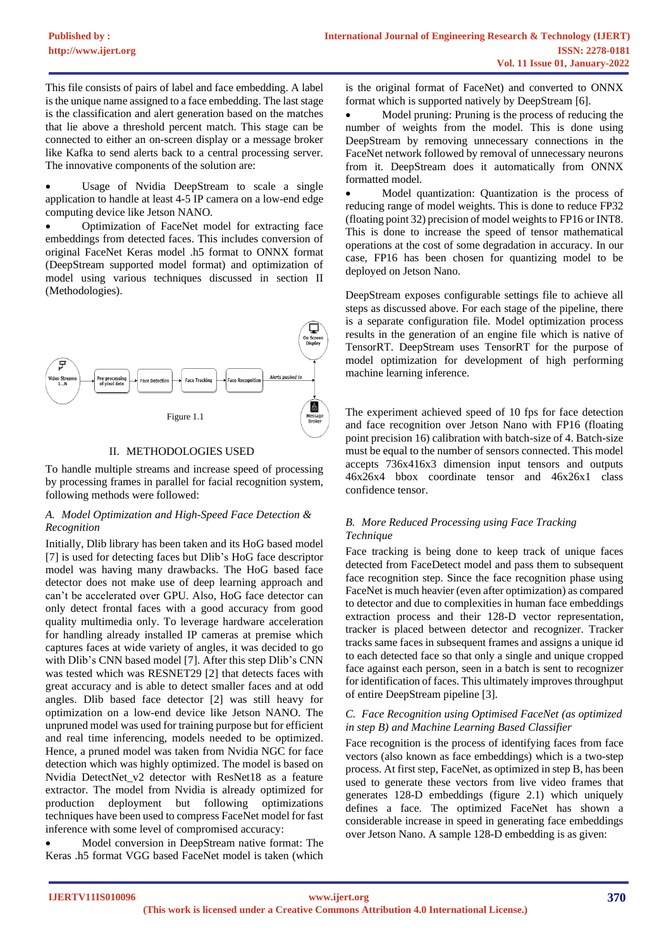This file consists of pairs of label and face embedding. A label is the unique name assigned to a face embedding. The last stage is the classification and alert generation based on the matches that lie above a threshold percent match. This stage can be connected to either an on-screen display or a message broker like Kafka to send alerts back to a central processing server. The innovative components of the solution are:

Usage of Nvidia DeepStream to scale a single application to handle at least 4-5 IP camera on a low-end edge computing device like Jetson NANO.

• Optimization of FaceNet model for extracting face embeddings from detected faces. This includes conversion of original FaceNet Keras model .h5 format to ONNX format (DeepStream supported model format) and optimization of model using various techniques discussed in section II (Methodologies).



## II. METHODOLOGIES USED

To handle multiple streams and increase speed of processing by processing frames in parallel for facial recognition system, following methods were followed:

## *A. Model Optimization and High-Speed Face Detection & Recognition*

Initially, Dlib library has been taken and its HoG based model [7] is used for detecting faces but Dlib's HoG face descriptor model was having many drawbacks. The HoG based face detector does not make use of deep learning approach and can't be accelerated over GPU. Also, HoG face detector can only detect frontal faces with a good accuracy from good quality multimedia only. To leverage hardware acceleration for handling already installed IP cameras at premise which captures faces at wide variety of angles, it was decided to go with Dlib's CNN based model [7]. After this step Dlib's CNN was tested which was RESNET29 [2] that detects faces with great accuracy and is able to detect smaller faces and at odd angles. Dlib based face detector [2] was still heavy for optimization on a low-end device like Jetson NANO. The unpruned model was used for training purpose but for efficient and real time inferencing, models needed to be optimized. Hence, a pruned model was taken from Nvidia NGC for face detection which was highly optimized. The model is based on Nvidia DetectNet\_v2 detector with ResNet18 as a feature extractor. The model from Nvidia is already optimized for production deployment but following optimizations techniques have been used to compress FaceNet model for fast inference with some level of compromised accuracy:

• Model conversion in DeepStream native format: The Keras .h5 format VGG based FaceNet model is taken (which is the original format of FaceNet) and converted to ONNX format which is supported natively by DeepStream [6].

Model pruning: Pruning is the process of reducing the number of weights from the model. This is done using DeepStream by removing unnecessary connections in the FaceNet network followed by removal of unnecessary neurons from it. DeepStream does it automatically from ONNX formatted model.

Model quantization: Quantization is the process of reducing range of model weights. This is done to reduce FP32 (floating point 32) precision of model weights to FP16 or INT8. This is done to increase the speed of tensor mathematical operations at the cost of some degradation in accuracy. In our case, FP16 has been chosen for quantizing model to be deployed on Jetson Nano.

DeepStream exposes configurable settings file to achieve all steps as discussed above. For each stage of the pipeline, there is a separate configuration file. Model optimization process results in the generation of an engine file which is native of TensorRT. DeepStream uses TensorRT for the purpose of model optimization for development of high performing machine learning inference.

The experiment achieved speed of 10 fps for face detection and face recognition over Jetson Nano with FP16 (floating point precision 16) calibration with batch-size of 4. Batch-size must be equal to the number of sensors connected. This model accepts 736x416x3 dimension input tensors and outputs 46x26x4 bbox coordinate tensor and 46x26x1 class confidence tensor.

## *B. More Reduced Processing using Face Tracking Technique*

Face tracking is being done to keep track of unique faces detected from FaceDetect model and pass them to subsequent face recognition step. Since the face recognition phase using FaceNet is much heavier (even after optimization) as compared to detector and due to complexities in human face embeddings extraction process and their 128-D vector representation, tracker is placed between detector and recognizer. Tracker tracks same faces in subsequent frames and assigns a unique id to each detected face so that only a single and unique cropped face against each person, seen in a batch is sent to recognizer for identification of faces. This ultimately improves throughput of entire DeepStream pipeline [3].

## *C. Face Recognition using Optimised FaceNet (as optimized in step B) and Machine Learning Based Classifier*

Face recognition is the process of identifying faces from face vectors (also known as face embeddings) which is a two-step process. At first step, FaceNet, as optimized in step B, has been used to generate these vectors from live video frames that generates 128-D embeddings (figure 2.1) which uniquely defines a face. The optimized FaceNet has shown a considerable increase in speed in generating face embeddings over Jetson Nano. A sample 128-D embedding is as given: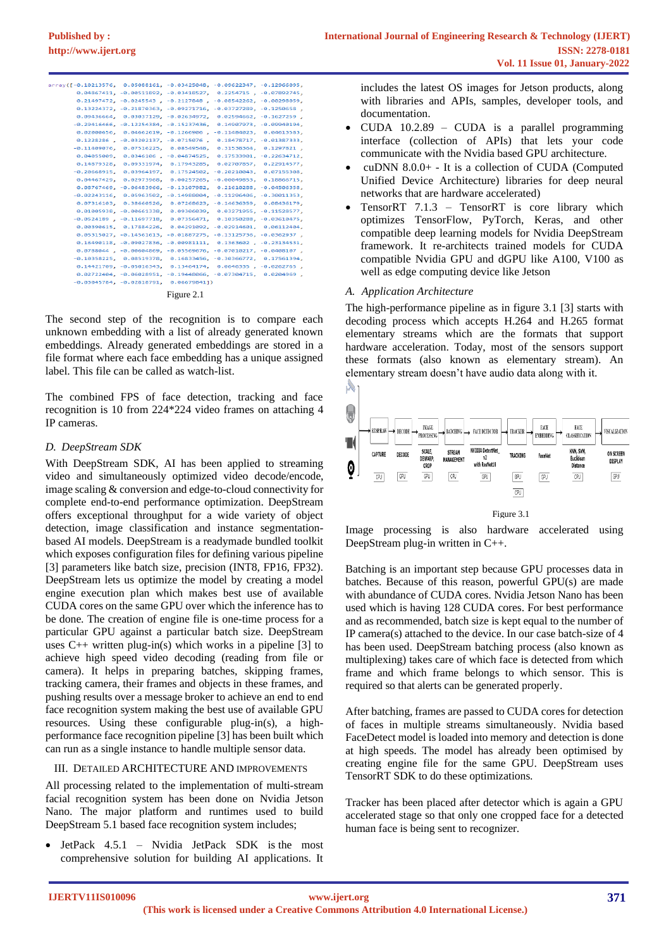| array([-0.10213576, 0.05088161, -0.03425048, -0.09622347, -0.12966095, |                                         |                            |                                                                                |  |
|------------------------------------------------------------------------|-----------------------------------------|----------------------------|--------------------------------------------------------------------------------|--|
|                                                                        |                                         |                            | $0.04867411, -0.00511892, -0.03418527, 0.2254715, -0.07892745,$                |  |
|                                                                        |                                         |                            | 0.21497472, -0.0245543, -0.2127848, -0.08542262, -0.00298059,                  |  |
|                                                                        |                                         |                            | $0.13224372, -0.21870363, -0.09271716, -0.03727289, -0.1250658$                |  |
|                                                                        |                                         |                            | $0.09436664$ , $0.03037129$ , $-0.02634972$ , $0.02594662$ , $-0.1627259$ ,    |  |
|                                                                        |                                         |                            | $-0.29416466, -0.12254384, -0.15237436, 0.14907973, -0.09940194,$              |  |
|                                                                        |                                         |                            | $0.02000656$ , $0.04662619$ , $-0.1266906$ , $-0.11484023$ , $0.04613583$ ,    |  |
|                                                                        |                                         |                            | 0.1228286, -0.03202137, -0.0715076, 0.18478717, -0.01387333,                   |  |
|                                                                        |                                         |                            | $-0.11409076$ , 0.07516225, 0.08549548, 0.31538364, 0.1297821,                 |  |
|                                                                        |                                         |                            | 0.04055009, 0.0346106, -0.04874525, 0.17533901, -0.22634712,                   |  |
|                                                                        |                                         |                            | 0.14879328, 0.09331974, 0.17943285, 0.02707857, 0.22914577,                    |  |
|                                                                        |                                         |                            | $-0.20668915$ , 0.03964197, 0.17524502, 0.20210043, 0.07155308,                |  |
|                                                                        |                                         |                            | $0.04467429$ , $0.02973968$ , $0.00257265$ , $0.00049853$ , $0.18866715$ ,     |  |
|                                                                        |                                         |                            | $0.08767469, -0.06483966, -0.13107982, 0.21610288, -0.04506358,$               |  |
|                                                                        |                                         |                            | $-0.02243116$ , $0.05963502$ , $-0.14988004$ , $-0.11296406$ , $-0.30011353$ , |  |
|                                                                        |                                         |                            | 0.07316103, 0.38660526, 0.07268623, -0.14636359, 0.08436179,                   |  |
|                                                                        |                                         |                            | $0.01005938, -0.00661338, 0.09306039, 0.03271955, -0.11528577,$                |  |
|                                                                        |                                         |                            | $-0.0524189$ , $-0.11697718$ , 0.07356471, 0.10350288, $-0.03610475$ ,         |  |
|                                                                        |                                         |                            | $0.00390615, 0.17884226, 0.04291092, -0.02914601, 0.06112404,$                 |  |
|                                                                        |                                         |                            | $0.05315027$ , $-0.14561613$ , $-0.01887275$ , $-0.13125736$ , $-0.0362937$ ,  |  |
|                                                                        |                                         |                            | $0.16490118$ , $-0.09027836$ , $-0.00981111$ , $0.1363602$ , $-0.23134531$ ,   |  |
|                                                                        |                                         |                            | $0.0788044$ , $-0.00604869$ , $-0.05569676$ , $-0.07010217$ , $-0.0408107$ ,   |  |
|                                                                        |                                         |                            | $-0.10358225$ , 0.08519378, 0.16833456, $-0.30366772$ , 0.17561394,            |  |
|                                                                        |                                         |                            | $0.14421709$ , $-0.05016343$ , $0.13464174$ , $0.0646335$ , $-0.0262765$ ,     |  |
|                                                                        |                                         |                            | $0.02722404, -0.06028951, -0.19448066, -0.07304715, 0.0204969$                 |  |
|                                                                        | $-0.03045784, -0.02818791, 0.06679841)$ |                            |                                                                                |  |
|                                                                        |                                         | $\Gamma$ $\Omega$ $\Omega$ |                                                                                |  |



The second step of the recognition is to compare each unknown embedding with a list of already generated known embeddings. Already generated embeddings are stored in a file format where each face embedding has a unique assigned label. This file can be called as watch-list.

The combined FPS of face detection, tracking and face recognition is 10 from 224\*224 video frames on attaching 4 IP cameras.

## *D. DeepStream SDK*

With DeepStream SDK, AI has been applied to streaming video and simultaneously optimized video decode/encode, image scaling & conversion and edge-to-cloud connectivity for complete end-to-end performance optimization. DeepStream offers exceptional throughput for a wide variety of object detection, image classification and instance segmentationbased AI models. DeepStream is a readymade bundled toolkit which exposes configuration files for defining various pipeline [3] parameters like batch size, precision (INT8, FP16, FP32). DeepStream lets us optimize the model by creating a model engine execution plan which makes best use of available CUDA cores on the same GPU over which the inference has to be done. The creation of engine file is one-time process for a particular GPU against a particular batch size. DeepStream uses  $C_{++}$  written plug-in(s) which works in a pipeline [3] to achieve high speed video decoding (reading from file or camera). It helps in preparing batches, skipping frames, tracking camera, their frames and objects in these frames, and pushing results over a message broker to achieve an end to end face recognition system making the best use of available GPU resources. Using these configurable plug-in(s), a highperformance face recognition pipeline [3] has been built which can run as a single instance to handle multiple sensor data.

## III. DETAILED ARCHITECTURE AND IMPROVEMENTS

All processing related to the implementation of multi-stream facial recognition system has been done on Nvidia Jetson Nano. The major platform and runtimes used to build DeepStream 5.1 based face recognition system includes;

• JetPack 4.5.1 – Nvidia JetPack SDK is the most comprehensive solution for building AI applications. It includes the latest OS images for Jetson products, along with libraries and APIs, samples, developer tools, and documentation.

- CUDA  $10.2.89$  CUDA is a parallel programming interface (collection of APIs) that lets your code communicate with the Nvidia based GPU architecture.
- cuDNN  $8.0.0+$  It is a collection of CUDA (Computed Unified Device Architecture) libraries for deep neural networks that are hardware accelerated)
- TensorRT 7.1.3 TensorRT is core library which optimizes TensorFlow, PyTorch, Keras, and other compatible deep learning models for Nvidia DeepStream framework. It re-architects trained models for CUDA compatible Nvidia GPU and dGPU like A100, V100 as well as edge computing device like Jetson

# *A. Application Architecture*

The high-performance pipeline as in figure 3.1 [3] starts with decoding process which accepts H.264 and H.265 format elementary streams which are the formats that support hardware acceleration. Today, most of the sensors support these formats (also known as elementary stream). An elementary stream doesn't have audio data along with it.



Image processing is also hardware accelerated using DeepStream plug-in written in C++.

Batching is an important step because GPU processes data in batches. Because of this reason, powerful GPU(s) are made with abundance of CUDA cores. Nvidia Jetson Nano has been used which is having 128 CUDA cores. For best performance and as recommended, batch size is kept equal to the number of IP camera(s) attached to the device. In our case batch-size of 4 has been used. DeepStream batching process (also known as multiplexing) takes care of which face is detected from which frame and which frame belongs to which sensor. This is required so that alerts can be generated properly.

After batching, frames are passed to CUDA cores for detection of faces in multiple streams simultaneously. Nvidia based FaceDetect model is loaded into memory and detection is done at high speeds. The model has already been optimised by creating engine file for the same GPU. DeepStream uses TensorRT SDK to do these optimizations.

Tracker has been placed after detector which is again a GPU accelerated stage so that only one cropped face for a detected human face is being sent to recognizer.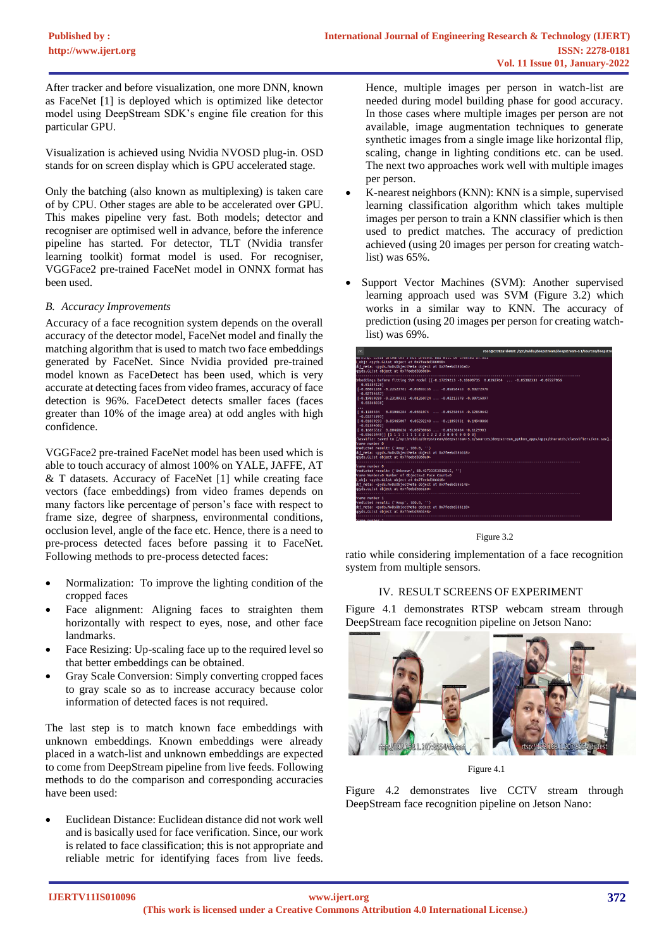After tracker and before visualization, one more DNN, known as FaceNet [1] is deployed which is optimized like detector model using DeepStream SDK's engine file creation for this particular GPU.

Visualization is achieved using Nvidia NVOSD plug-in. OSD stands for on screen display which is GPU accelerated stage.

Only the batching (also known as multiplexing) is taken care of by CPU. Other stages are able to be accelerated over GPU. This makes pipeline very fast. Both models; detector and recogniser are optimised well in advance, before the inference pipeline has started. For detector, TLT (Nvidia transfer learning toolkit) format model is used. For recogniser, VGGFace2 pre-trained FaceNet model in ONNX format has been used.

### *B. Accuracy Improvements*

Accuracy of a face recognition system depends on the overall accuracy of the detector model, FaceNet model and finally the matching algorithm that is used to match two face embeddings generated by FaceNet. Since Nvidia provided pre-trained model known as FaceDetect has been used, which is very accurate at detecting faces from video frames, accuracy of face detection is 96%. FaceDetect detects smaller faces (faces greater than 10% of the image area) at odd angles with high confidence.

VGGFace2 pre-trained FaceNet model has been used which is able to touch accuracy of almost 100% on YALE, JAFFE, AT & T datasets. Accuracy of FaceNet [1] while creating face vectors (face embeddings) from video frames depends on many factors like percentage of person's face with respect to frame size, degree of sharpness, environmental conditions, occlusion level, angle of the face etc. Hence, there is a need to pre-process detected faces before passing it to FaceNet. Following methods to pre-process detected faces:

- Normalization: To improve the lighting condition of the cropped faces
- Face alignment: Aligning faces to straighten them horizontally with respect to eyes, nose, and other face landmarks.
- Face Resizing: Up-scaling face up to the required level so that better embeddings can be obtained.
- Gray Scale Conversion: Simply converting cropped faces to gray scale so as to increase accuracy because color information of detected faces is not required.

The last step is to match known face embeddings with unknown embeddings. Known embeddings were already placed in a watch-list and unknown embeddings are expected to come from DeepStream pipeline from live feeds. Following methods to do the comparison and corresponding accuracies have been used:

• Euclidean Distance: Euclidean distance did not work well and is basically used for face verification. Since, our work is related to face classification; this is not appropriate and reliable metric for identifying faces from live feeds.

Hence, multiple images per person in watch-list are needed during model building phase for good accuracy. In those cases where multiple images per person are not available, image augmentation techniques to generate synthetic images from a single image like horizontal flip, scaling, change in lighting conditions etc. can be used. The next two approaches work well with multiple images per person.

- K-nearest neighbors (KNN): KNN is a simple, supervised learning classification algorithm which takes multiple images per person to train a KNN classifier which is then used to predict matches. The accuracy of prediction achieved (using 20 images per person for creating watchlist) was 65%.
- Support Vector Machines (SVM): Another supervised learning approach used was SVM (Figure 3.2) which works in a similar way to KNN. The accuracy of prediction (using 20 images per person for creating watchlist) was 69%.

| 同                                                                                                                                                                                                                                                                                                                                                                                           | root@c3782a1d4493; /opt/nvidia/deepstream/deepstream-5.1/sources/deepstre                                                     |
|---------------------------------------------------------------------------------------------------------------------------------------------------------------------------------------------------------------------------------------------------------------------------------------------------------------------------------------------------------------------------------------------|-------------------------------------------------------------------------------------------------------------------------------|
| narming. Color primaries a not present and witt be created priobl<br>l obi: <pvds.glist 0x7feebd386068="" at="" object=""><br/>obi meta: <pvds.nvdsobiectmeta 0x7feebd3860a0="" at="" obiect=""><br/>covds.GList object at 0x7feebd3860d8&gt;</pvds.nvdsobiectmeta></pvds.glist>                                                                                                            |                                                                                                                               |
| Embeddings before fitting SVM model [[-0.17259213 -0.18690735 0.0392764  -0.05382333 -0.07227056<br>0.015841281<br>[-0.06091106 -0.22523761 -0.05033136  -0.05856453 0.03272978<br>$-0.027846571$<br>$[-0.19859289 - 0.23109332 - 0.01260724  - 0.02213578 - 0.00716897$<br>0.033680381<br>$\cdots$<br>[ 0.1180404  0.01066284  - 0.0361074   - 0.05258054  - 0.12850642<br>$-0.03271995$ ] |                                                                                                                               |
| $[-0.01839293 - 0.05465007 0.05292248  -0.11093931 0.14948866$<br>$-0.01394602$<br>[ 0.16895512 0.00460636 -0.08730066  -0.03130484 -0.1129903<br>frame number 0<br>Predicted result: ('Anup', 100.0, '')<br>obi meta: <pvds.nvdsobiectmeta 0x7feebd386618="" at="" obiect=""><br/>covds.GList object at 0x7feebd3860a0&gt;</pvds.nvdsobiectmeta>                                           | Classifier Saved to [/opt/nvidia/deepstrean/deepstrean-5.1/sources/deepstrean python apps/apps/bharatds/classifiers/knn.sav]. |
| frame number 0<br>Predicted result: ('Unknown', 60.42723353912815, '')<br>Frame Number=0 Number of Objects=2 Face Count=0<br>obi: <pyds.glist 0x7feebd386618="" at="" object=""><br/>obj meta: <pyds.nvdsobjectmeta 0x7feebd386148="" at="" object=""><br/>cpyds.GList object at 0x7feebd386180&gt;</pyds.nvdsobjectmeta></pyds.glist>                                                      |                                                                                                                               |
| frame number 1<br>Predicted result: ('Anup', 100.0, '')<br>obj meta: <pyds.nvdsobjectmeta 0x7feebd386110="" at="" object=""><br/>kpyds.GList object at 0x7feebd386148&gt;<br/>fasoa ambaa 4</pyds.nvdsobjectmeta>                                                                                                                                                                           |                                                                                                                               |

Figure 3.2

ratio while considering implementation of a face recognition system from multiple sensors.

## IV. RESULT SCREENS OF EXPERIMENT

Figure 4.1 demonstrates RTSP webcam stream through DeepStream face recognition pipeline on Jetson Nano:



Figure 4.1

Figure 4.2 demonstrates live CCTV stream through DeepStream face recognition pipeline on Jetson Nano: